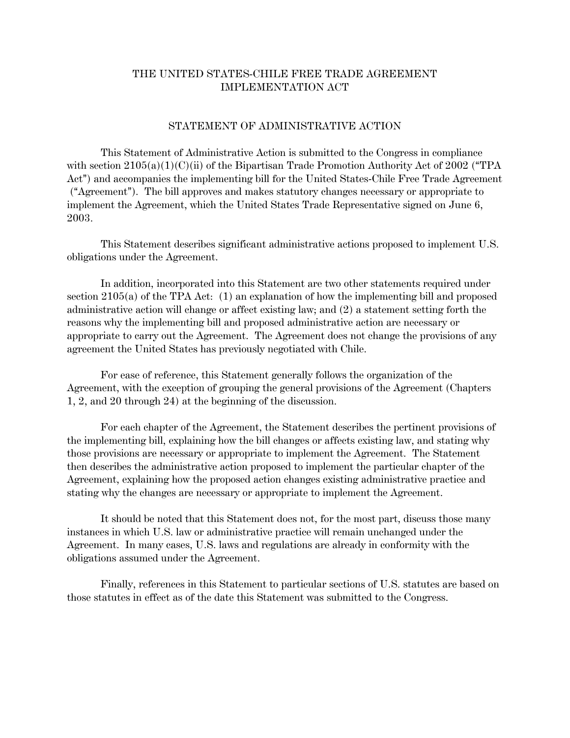## THE UNITED STATES-CHILE FREE TRADE AGREEMENT IMPLEMENTATION ACT

#### STATEMENT OF ADMINISTRATIVE ACTION

This Statement of Administrative Action is submitted to the Congress in compliance with section  $2105(a)(1)(C)(ii)$  of the Bipartisan Trade Promotion Authority Act of 2002 ("TPA Act") and accompanies the implementing bill for the United States-Chile Free Trade Agreement ("Agreement"). The bill approves and makes statutory changes necessary or appropriate to implement the Agreement, which the United States Trade Representative signed on June 6, 2003.

This Statement describes significant administrative actions proposed to implement U.S. obligations under the Agreement.

In addition, incorporated into this Statement are two other statements required under section 2105(a) of the TPA Act: (1) an explanation of how the implementing bill and proposed administrative action will change or affect existing law; and (2) a statement setting forth the reasons why the implementing bill and proposed administrative action are necessary or appropriate to carry out the Agreement. The Agreement does not change the provisions of any agreement the United States has previously negotiated with Chile.

For ease of reference, this Statement generally follows the organization of the Agreement, with the exception of grouping the general provisions of the Agreement (Chapters 1, 2, and 20 through 24) at the beginning of the discussion.

For each chapter of the Agreement, the Statement describes the pertinent provisions of the implementing bill, explaining how the bill changes or affects existing law, and stating why those provisions are necessary or appropriate to implement the Agreement. The Statement then describes the administrative action proposed to implement the particular chapter of the Agreement, explaining how the proposed action changes existing administrative practice and stating why the changes are necessary or appropriate to implement the Agreement.

It should be noted that this Statement does not, for the most part, discuss those many instances in which U.S. law or administrative practice will remain unchanged under the Agreement. In many cases, U.S. laws and regulations are already in conformity with the obligations assumed under the Agreement.

Finally, references in this Statement to particular sections of U.S. statutes are based on those statutes in effect as of the date this Statement was submitted to the Congress.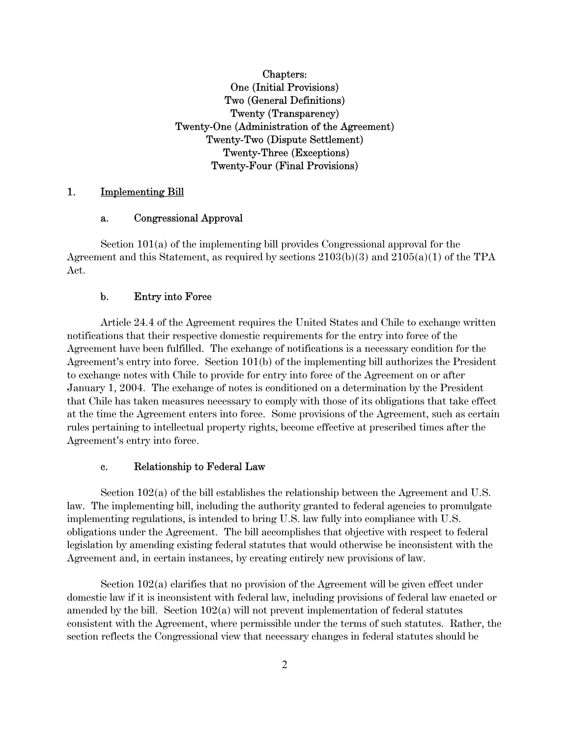# Chapters: One (Initial Provisions) Two (General Definitions) Twenty (Transparency) Twenty-One (Administration of the Agreement) Twenty-Two (Dispute Settlement) Twenty-Three (Exceptions) Twenty-Four (Final Provisions)

### 1. Implementing Bill

#### a. Congressional Approval

Section 101(a) of the implementing bill provides Congressional approval for the Agreement and this Statement, as required by sections  $2103(b)(3)$  and  $2105(a)(1)$  of the TPA Act.

#### b. Entry into Force

Article 24.4 of the Agreement requires the United States and Chile to exchange written notifications that their respective domestic requirements for the entry into force of the Agreement have been fulfilled. The exchange of notifications is a necessary condition for the Agreement's entry into force. Section  $101(b)$  of the implementing bill authorizes the President to exchange notes with Chile to provide for entry into force of the Agreement on or after January 1, 2004. The exchange of notes is conditioned on a determination by the President that Chile has taken measures necessary to comply with those of its obligations that take effect at the time the Agreement enters into force. Some provisions of the Agreement, such as certain rules pertaining to intellectual property rights, become effective at prescribed times after the Agreement's entry into force.

#### c. Relationship to Federal Law

Section 102(a) of the bill establishes the relationship between the Agreement and U.S. law. The implementing bill, including the authority granted to federal agencies to promulgate implementing regulations, is intended to bring U.S. law fully into compliance with U.S. obligations under the Agreement. The bill accomplishes that objective with respect to federal legislation by amending existing federal statutes that would otherwise be inconsistent with the Agreement and, in certain instances, by creating entirely new provisions of law.

Section 102(a) clarifies that no provision of the Agreement will be given effect under domestic law if it is inconsistent with federal law, including provisions of federal law enacted or amended by the bill. Section 102(a) will not prevent implementation of federal statutes consistent with the Agreement, where permissible under the terms of such statutes. Rather, the section reflects the Congressional view that necessary changes in federal statutes should be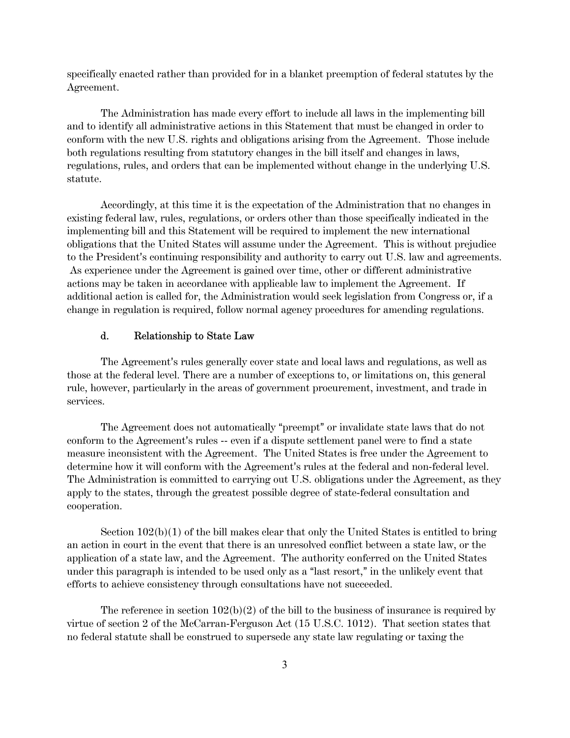specifically enacted rather than provided for in a blanket preemption of federal statutes by the Agreement.

The Administration has made every effort to include all laws in the implementing bill and to identify all administrative actions in this Statement that must be changed in order to conform with the new U.S. rights and obligations arising from the Agreement. Those include both regulations resulting from statutory changes in the bill itself and changes in laws, regulations, rules, and orders that can be implemented without change in the underlying U.S. statute.

Accordingly, at this time it is the expectation of the Administration that no changes in existing federal law, rules, regulations, or orders other than those specifically indicated in the implementing bill and this Statement will be required to implement the new international obligations that the United States will assume under the Agreement. This is without prejudice to the President's continuing responsibility and authority to carry out U.S. law and agreements. As experience under the Agreement is gained over time, other or different administrative actions may be taken in accordance with applicable law to implement the Agreement. If additional action is called for, the Administration would seek legislation from Congress or, if a change in regulation is required, follow normal agency procedures for amending regulations.

## d. Relationship to State Law

The Agreement's rules generally cover state and local laws and regulations, as well as those at the federal level. There are a number of exceptions to, or limitations on, this general rule, however, particularly in the areas of government procurement, investment, and trade in services.

The Agreement does not automatically "preempt" or invalidate state laws that do not conform to the Agreement's rules -- even if a dispute settlement panel were to find a state measure inconsistent with the Agreement. The United States is free under the Agreement to determine how it will conform with the Agreement's rules at the federal and non-federal level. The Administration is committed to carrying out U.S. obligations under the Agreement, as they apply to the states, through the greatest possible degree of state-federal consultation and cooperation.

Section  $102(b)(1)$  of the bill makes clear that only the United States is entitled to bring an action in court in the event that there is an unresolved conflict between a state law, or the application of a state law, and the Agreement. The authority conferred on the United States under this paragraph is intended to be used only as a "last resort," in the unlikely event that efforts to achieve consistency through consultations have not succeeded.

The reference in section  $102(b)(2)$  of the bill to the business of insurance is required by virtue of section 2 of the McCarran-Ferguson Act (15 U.S.C. 1012). That section states that no federal statute shall be construed to supersede any state law regulating or taxing the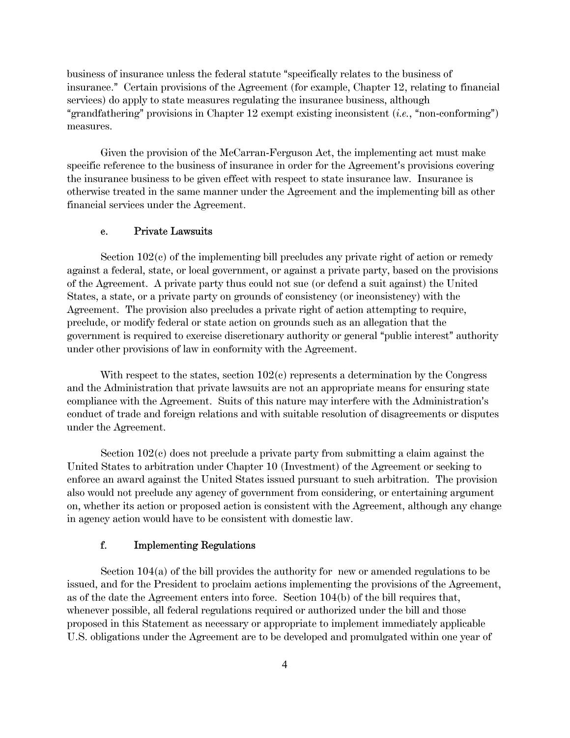business of insurance unless the federal statute "specifically relates to the business of insurance." Certain provisions of the Agreement (for example, Chapter 12, relating to financial services) do apply to state measures regulating the insurance business, although "grandfathering" provisions in Chapter  $12$  exempt existing inconsistent (*i.e.*, "non-conforming") measures.

Given the provision of the McCarran-Ferguson Act, the implementing act must make specific reference to the business of insurance in order for the Agreement's provisions covering the insurance business to be given effect with respect to state insurance law. Insurance is otherwise treated in the same manner under the Agreement and the implementing bill as other financial services under the Agreement.

#### e. Private Lawsuits

Section 102(c) of the implementing bill precludes any private right of action or remedy against a federal, state, or local government, or against a private party, based on the provisions of the Agreement. A private party thus could not sue (or defend a suit against) the United States, a state, or a private party on grounds of consistency (or inconsistency) with the Agreement. The provision also precludes a private right of action attempting to require, preclude, or modify federal or state action on grounds such as an allegation that the government is required to exercise discretionary authority or general "public interest" authority under other provisions of law in conformity with the Agreement.

With respect to the states, section  $102(c)$  represents a determination by the Congress and the Administration that private lawsuits are not an appropriate means for ensuring state compliance with the Agreement. Suits of this nature may interfere with the Administration's conduct of trade and foreign relations and with suitable resolution of disagreements or disputes under the Agreement.

Section 102(c) does not preclude a private party from submitting a claim against the United States to arbitration under Chapter 10 (Investment) of the Agreement or seeking to enforce an award against the United States issued pursuant to such arbitration. The provision also would not preclude any agency of government from considering, or entertaining argument on, whether its action or proposed action is consistent with the Agreement, although any change in agency action would have to be consistent with domestic law.

#### f. Implementing Regulations

Section 104(a) of the bill provides the authority for new or amended regulations to be issued, and for the President to proclaim actions implementing the provisions of the Agreement, as of the date the Agreement enters into force. Section 104(b) of the bill requires that, whenever possible, all federal regulations required or authorized under the bill and those proposed in this Statement as necessary or appropriate to implement immediately applicable U.S. obligations under the Agreement are to be developed and promulgated within one year of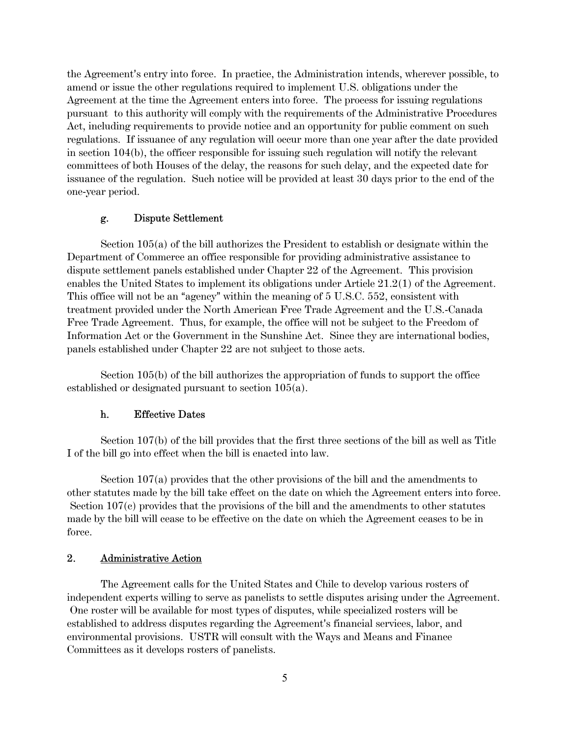the Agreement's entry into force. In practice, the Administration intends, wherever possible, to amend or issue the other regulations required to implement U.S. obligations under the Agreement at the time the Agreement enters into force. The process for issuing regulations pursuant to this authority will comply with the requirements of the Administrative Procedures Act, including requirements to provide notice and an opportunity for public comment on such regulations. If issuance of any regulation will occur more than one year after the date provided in section 104(b), the officer responsible for issuing such regulation will notify the relevant committees of both Houses of the delay, the reasons for such delay, and the expected date for issuance of the regulation. Such notice will be provided at least 30 days prior to the end of the one-year period.

#### g. Dispute Settlement

Section 105(a) of the bill authorizes the President to establish or designate within the Department of Commerce an office responsible for providing administrative assistance to dispute settlement panels established under Chapter 22 of the Agreement. This provision enables the United States to implement its obligations under Article 21.2(1) of the Agreement. This office will not be an "agency" within the meaning of  $5 \text{ U.S.C. } 552$ , consistent with treatment provided under the North American Free Trade Agreement and the U.S.-Canada Free Trade Agreement. Thus, for example, the office will not be subject to the Freedom of Information Act or the Government in the Sunshine Act. Since they are international bodies, panels established under Chapter 22 are not subject to those acts.

Section 105(b) of the bill authorizes the appropriation of funds to support the office established or designated pursuant to section 105(a).

#### h. Effective Dates

Section 107(b) of the bill provides that the first three sections of the bill as well as Title I of the bill go into effect when the bill is enacted into law.

Section 107(a) provides that the other provisions of the bill and the amendments to other statutes made by the bill take effect on the date on which the Agreement enters into force. Section 107(c) provides that the provisions of the bill and the amendments to other statutes made by the bill will cease to be effective on the date on which the Agreement ceases to be in force.

#### 2. Administrative Action

The Agreement calls for the United States and Chile to develop various rosters of independent experts willing to serve as panelists to settle disputes arising under the Agreement. One roster will be available for most types of disputes, while specialized rosters will be established to address disputes regarding the Agreement's financial services, labor, and environmental provisions. USTR will consult with the Ways and Means and Finance Committees as it develops rosters of panelists.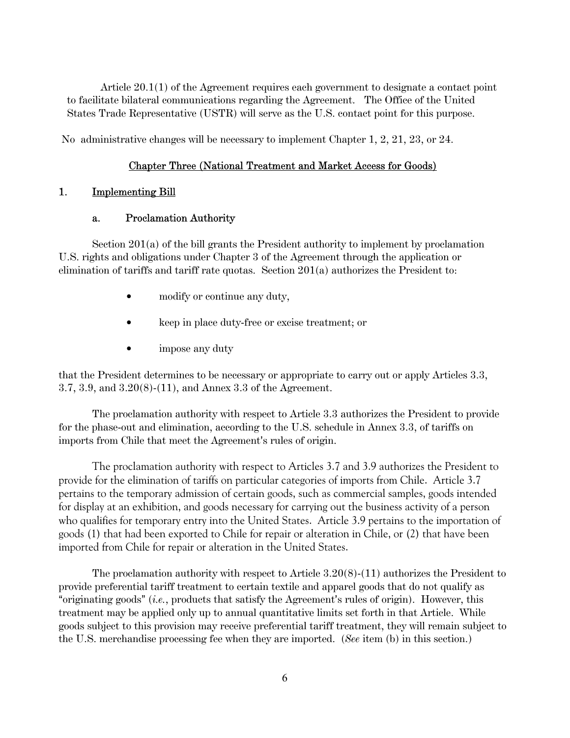Article 20.1(1) of the Agreement requires each government to designate a contact point to facilitate bilateral communications regarding the Agreement. The Office of the United States Trade Representative (USTR) will serve as the U.S. contact point for this purpose.

No administrative changes will be necessary to implement Chapter 1, 2, 21, 23, or 24.

### Chapter Three (National Treatment and Market Access for Goods)

### 1. Implementing Bill

### a. Proclamation Authority

Section 201(a) of the bill grants the President authority to implement by proclamation U.S. rights and obligations under Chapter 3 of the Agreement through the application or elimination of tariffs and tariff rate quotas. Section  $201(a)$  authorizes the President to:

- modify or continue any duty,
- keep in place duty-free or excise treatment; or
- impose any duty

that the President determines to be necessary or appropriate to carry out or apply Articles 3.3, 3.7, 3.9, and 3.20(8)-(11), and Annex 3.3 of the Agreement.

The proclamation authority with respect to Article 3.3 authorizes the President to provide for the phase-out and elimination, according to the U.S. schedule in Annex 3.3, of tariffs on imports from Chile that meet the Agreement's rules of origin.

The proclamation authority with respect to Articles 3.7 and 3.9 authorizes the President to provide for the elimination of tariffs on particular categories of imports from Chile. Article 3.7 pertains to the temporary admission of certain goods, such as commercial samples, goods intended for display at an exhibition, and goods necessary for carrying out the business activity of a person who qualifies for temporary entry into the United States. Article 3.9 pertains to the importation of goods (1) that had been exported to Chile for repair or alteration in Chile, or (2) that have been imported from Chile for repair or alteration in the United States.

The proclamation authority with respect to Article 3.20(8)-(11) authorizes the President to provide preferential tariff treatment to certain textile and apparel goods that do not qualify as "originating goods" (*i.e.*, products that satisfy the Agreement's rules of origin). However, this treatment may be applied only up to annual quantitative limits set forth in that Article. While goods subject to this provision may receive preferential tariff treatment, they will remain subject to the U.S. merchandise processing fee when they are imported. (*See* item (b) in this section.)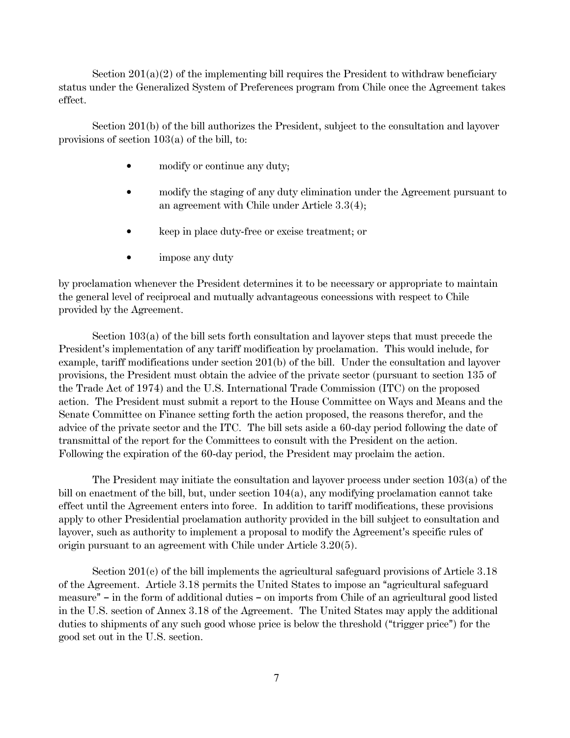Section  $201(a)(2)$  of the implementing bill requires the President to withdraw beneficiary status under the Generalized System of Preferences program from Chile once the Agreement takes effect.

Section 201(b) of the bill authorizes the President, subject to the consultation and layover provisions of section 103(a) of the bill, to:

- modify or continue any duty;
- modify the staging of any duty elimination under the Agreement pursuant to an agreement with Chile under Article 3.3(4);
- keep in place duty-free or excise treatment; or
- $\bullet$  impose any duty

by proclamation whenever the President determines it to be necessary or appropriate to maintain the general level of reciprocal and mutually advantageous concessions with respect to Chile provided by the Agreement.

Section 103(a) of the bill sets forth consultation and layover steps that must precede the President's implementation of any tariff modification by proclamation. This would include, for example, tariff modifications under section 201(b) of the bill. Under the consultation and layover provisions, the President must obtain the advice of the private sector (pursuant to section 135 of the Trade Act of 1974) and the U.S. International Trade Commission (ITC) on the proposed action. The President must submit a report to the House Committee on Ways and Means and the Senate Committee on Finance setting forth the action proposed, the reasons therefor, and the advice of the private sector and the ITC. The bill sets aside a 60-day period following the date of transmittal of the report for the Committees to consult with the President on the action. Following the expiration of the 60-day period, the President may proclaim the action.

The President may initiate the consultation and layover process under section 103(a) of the bill on enactment of the bill, but, under section  $104(a)$ , any modifying proclamation cannot take effect until the Agreement enters into force. In addition to tariff modifications, these provisions apply to other Presidential proclamation authority provided in the bill subject to consultation and layover, such as authority to implement a proposal to modify the Agreement's specific rules of origin pursuant to an agreement with Chile under Article 3.20(5).

Section 201(c) of the bill implements the agricultural safeguard provisions of Article 3.18 of the Agreement. Article 3.18 permits the United States to impose an "agricultural safeguard" measure"  $-$  in the form of additional duties  $-$  on imports from Chile of an agricultural good listed in the U.S. section of Annex 3.18 of the Agreement. The United States may apply the additional duties to shipments of any such good whose price is below the threshold ("trigger price") for the good set out in the U.S. section.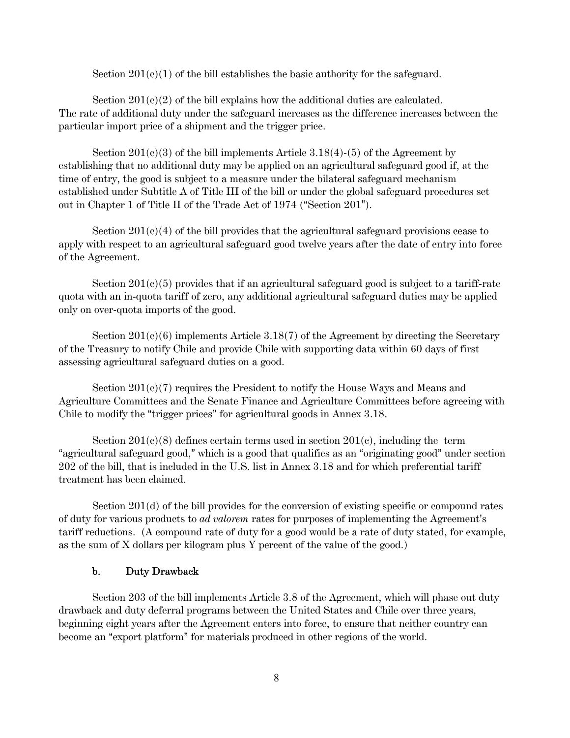Section  $201(c)(1)$  of the bill establishes the basic authority for the safeguard.

Section  $201(c)(2)$  of the bill explains how the additional duties are calculated. The rate of additional duty under the safeguard increases as the difference increases between the particular import price of a shipment and the trigger price.

Section  $201(e)(3)$  of the bill implements Article  $3.18(4)-(5)$  of the Agreement by establishing that no additional duty may be applied on an agricultural safeguard good if, at the time of entry, the good is subject to a measure under the bilateral safeguard mechanism established under Subtitle A of Title III of the bill or under the global safeguard procedures set out in Chapter 1 of Title II of the Trade Act of  $1974$  ("Section  $201$ ").

Section  $201(e)(4)$  of the bill provides that the agricultural safeguard provisions cease to apply with respect to an agricultural safeguard good twelve years after the date of entry into force of the Agreement.

Section  $201(e)(5)$  provides that if an agricultural safeguard good is subject to a tariff-rate quota with an in-quota tariff of zero, any additional agricultural safeguard duties may be applied only on over-quota imports of the good.

Section  $201(c)(6)$  implements Article 3.18(7) of the Agreement by directing the Secretary of the Treasury to notify Chile and provide Chile with supporting data within 60 days of first assessing agricultural safeguard duties on a good.

Section  $201(e)(7)$  requires the President to notify the House Ways and Means and Agriculture Committees and the Senate Finance and Agriculture Committees before agreeing with Chile to modify the "trigger prices" for agricultural goods in Annex 3.18.

Section  $201(e)(8)$  defines certain terms used in section  $201(e)$ , including the term "agricultural safeguard good," which is a good that qualifies as an "originating good" under section 202 of the bill, that is included in the U.S. list in Annex 3.18 and for which preferential tariff treatment has been claimed.

Section 201(d) of the bill provides for the conversion of existing specific or compound rates of duty for various products to *ad valorem* rates for purposes of implementing the Agreement's tariff reductions. (A compound rate of duty for a good would be a rate of duty stated, for example, as the sum of X dollars per kilogram plus Y percent of the value of the good.)

#### b. Duty Drawback

Section 203 of the bill implements Article 3.8 of the Agreement, which will phase out duty drawback and duty deferral programs between the United States and Chile over three years, beginning eight years after the Agreement enters into force, to ensure that neither country can become an "export platform" for materials produced in other regions of the world.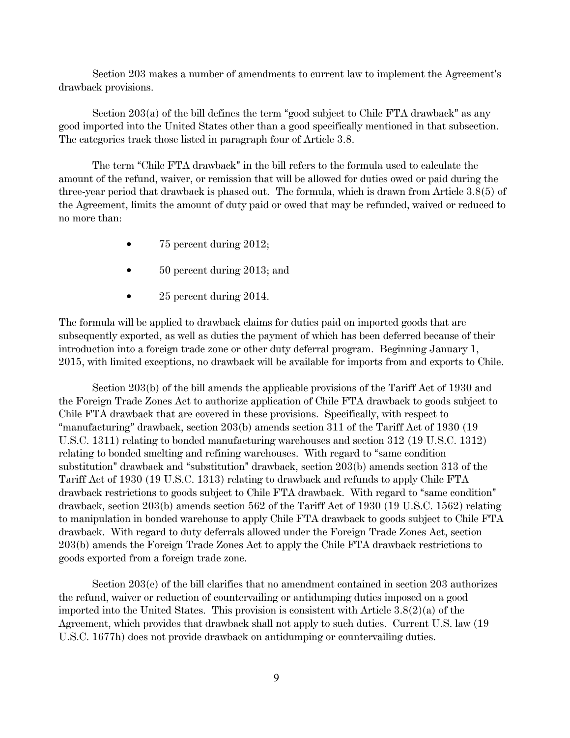Section 203 makes a number of amendments to current law to implement the Agreement's drawback provisions.

Section  $203(a)$  of the bill defines the term "good subject to Chile FTA drawback" as any good imported into the United States other than a good specifically mentioned in that subsection. The categories track those listed in paragraph four of Article 3.8.

The term "Chile FTA drawback" in the bill refers to the formula used to calculate the amount of the refund, waiver, or remission that will be allowed for duties owed or paid during the three-year period that drawback is phased out. The formula, which is drawn from Article 3.8(5) of the Agreement, limits the amount of duty paid or owed that may be refunded, waived or reduced to no more than:

- $\bullet$  75 percent during 2012;
- \$ 50 percent during 2013; and
- 25 percent during 2014.

The formula will be applied to drawback claims for duties paid on imported goods that are subsequently exported, as well as duties the payment of which has been deferred because of their introduction into a foreign trade zone or other duty deferral program. Beginning January 1, 2015, with limited exceptions, no drawback will be available for imports from and exports to Chile.

Section 203(b) of the bill amends the applicable provisions of the Tariff Act of 1930 and the Foreign Trade Zones Act to authorize application of Chile FTA drawback to goods subject to Chile FTA drawback that are covered in these provisions. Specifically, with respect to "manufacturing" drawback, section  $203(b)$  amends section 311 of the Tariff Act of 1930 (19 U.S.C. 1311) relating to bonded manufacturing warehouses and section 312 (19 U.S.C. 1312) relating to bonded smelting and refining warehouses. With regard to "same condition" substitution" drawback and "substitution" drawback, section  $203(b)$  amends section 313 of the Tariff Act of 1930 (19 U.S.C. 1313) relating to drawback and refunds to apply Chile FTA  $d$ rawback restrictions to goods subject to Chile FTA drawback. With regard to "same condition" drawback, section 203(b) amends section 562 of the Tariff Act of 1930 (19 U.S.C. 1562) relating to manipulation in bonded warehouse to apply Chile FTA drawback to goods subject to Chile FTA drawback. With regard to duty deferrals allowed under the Foreign Trade Zones Act, section 203(b) amends the Foreign Trade Zones Act to apply the Chile FTA drawback restrictions to goods exported from a foreign trade zone.

Section 203(c) of the bill clarifies that no amendment contained in section 203 authorizes the refund, waiver or reduction of countervailing or antidumping duties imposed on a good imported into the United States. This provision is consistent with Article  $3.8(2)(a)$  of the Agreement, which provides that drawback shall not apply to such duties. Current U.S. law (19 U.S.C. 1677h) does not provide drawback on antidumping or countervailing duties.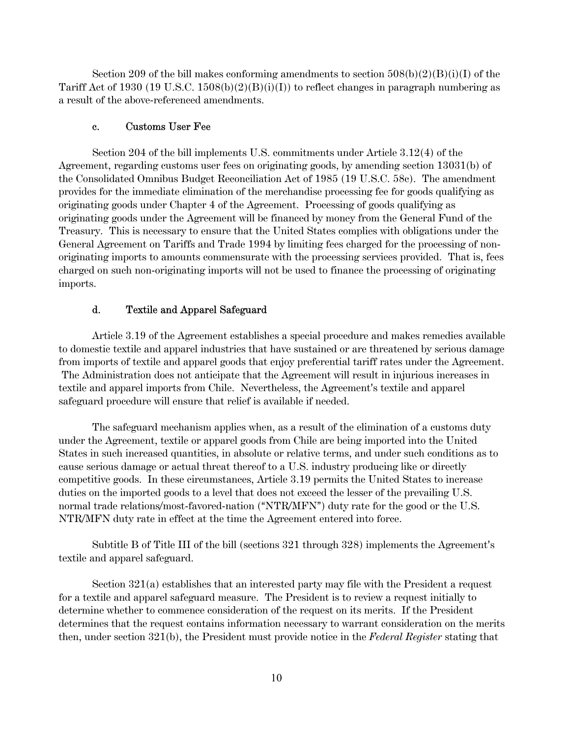Section 209 of the bill makes conforming amendments to section  $508(b)(2)(B)(i)(I)$  of the Tariff Act of 1930 (19 U.S.C. 1508(b)(2)(B)(i)(I)) to reflect changes in paragraph numbering as a result of the above-referenced amendments.

#### c. Customs User Fee

Section 204 of the bill implements U.S. commitments under Article 3.12(4) of the Agreement, regarding customs user fees on originating goods, by amending section 13031(b) of the Consolidated Omnibus Budget Reconciliation Act of 1985 (19 U.S.C. 58c). The amendment provides for the immediate elimination of the merchandise processing fee for goods qualifying as originating goods under Chapter 4 of the Agreement. Processing of goods qualifying as originating goods under the Agreement will be financed by money from the General Fund of the Treasury. This is necessary to ensure that the United States complies with obligations under the General Agreement on Tariffs and Trade 1994 by limiting fees charged for the processing of nonoriginating imports to amounts commensurate with the processing services provided. That is, fees charged on such non-originating imports will not be used to finance the processing of originating imports.

### d. Textile and Apparel Safeguard

Article 3.19 of the Agreement establishes a special procedure and makes remedies available to domestic textile and apparel industries that have sustained or are threatened by serious damage from imports of textile and apparel goods that enjoy preferential tariff rates under the Agreement. The Administration does not anticipate that the Agreement will result in injurious increases in textile and apparel imports from Chile. Nevertheless, the Agreement's textile and apparel safeguard procedure will ensure that relief is available if needed.

The safeguard mechanism applies when, as a result of the elimination of a customs duty under the Agreement, textile or apparel goods from Chile are being imported into the United States in such increased quantities, in absolute or relative terms, and under such conditions as to cause serious damage or actual threat thereof to a U.S. industry producing like or directly competitive goods. In these circumstances, Article 3.19 permits the United States to increase duties on the imported goods to a level that does not exceed the lesser of the prevailing U.S. normal trade relations/most-favored-nation ("NTR/MFN") duty rate for the good or the U.S. NTR/MFN duty rate in effect at the time the Agreement entered into force.

Subtitle B of Title III of the bill (sections  $321$  through  $328$ ) implements the Agreement's textile and apparel safeguard.

Section 321(a) establishes that an interested party may file with the President a request for a textile and apparel safeguard measure. The President is to review a request initially to determine whether to commence consideration of the request on its merits. If the President determines that the request contains information necessary to warrant consideration on the merits then, under section 321(b), the President must provide notice in the *Federal Register* stating that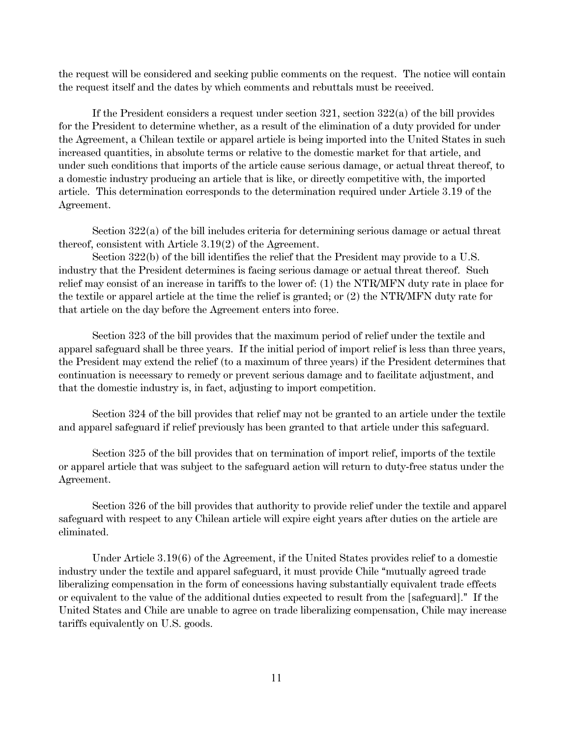the request will be considered and seeking public comments on the request. The notice will contain the request itself and the dates by which comments and rebuttals must be received.

If the President considers a request under section 321, section 322(a) of the bill provides for the President to determine whether, as a result of the elimination of a duty provided for under the Agreement, a Chilean textile or apparel article is being imported into the United States in such increased quantities, in absolute terms or relative to the domestic market for that article, and under such conditions that imports of the article cause serious damage, or actual threat thereof, to a domestic industry producing an article that is like, or directly competitive with, the imported article. This determination corresponds to the determination required under Article 3.19 of the Agreement.

Section 322(a) of the bill includes criteria for determining serious damage or actual threat thereof, consistent with Article 3.19(2) of the Agreement.

Section 322(b) of the bill identifies the relief that the President may provide to a U.S. industry that the President determines is facing serious damage or actual threat thereof. Such relief may consist of an increase in tariffs to the lower of: (1) the NTR/MFN duty rate in place for the textile or apparel article at the time the relief is granted; or (2) the NTR/MFN duty rate for that article on the day before the Agreement enters into force.

Section 323 of the bill provides that the maximum period of relief under the textile and apparel safeguard shall be three years. If the initial period of import relief is less than three years, the President may extend the relief (to a maximum of three years) if the President determines that continuation is necessary to remedy or prevent serious damage and to facilitate adjustment, and that the domestic industry is, in fact, adjusting to import competition.

Section 324 of the bill provides that relief may not be granted to an article under the textile and apparel safeguard if relief previously has been granted to that article under this safeguard.

Section 325 of the bill provides that on termination of import relief, imports of the textile or apparel article that was subject to the safeguard action will return to duty-free status under the Agreement.

Section 326 of the bill provides that authority to provide relief under the textile and apparel safeguard with respect to any Chilean article will expire eight years after duties on the article are eliminated.

Under Article 3.19(6) of the Agreement, if the United States provides relief to a domestic industry under the textile and apparel safeguard, it must provide Chile "mutually agreed trade liberalizing compensation in the form of concessions having substantially equivalent trade effects or equivalent to the value of the additional duties expected to result from the [safeguard]." If the United States and Chile are unable to agree on trade liberalizing compensation, Chile may increase tariffs equivalently on U.S. goods.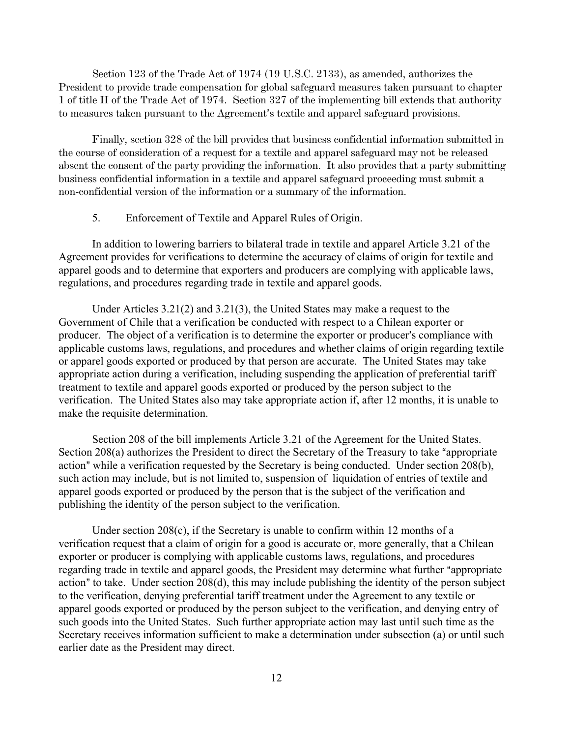Section 123 of the Trade Act of 1974 (19 U.S.C. 2133), as amended, authorizes the President to provide trade compensation for global safeguard measures taken pursuant to chapter 1 of title II of the Trade Act of 1974. Section 327 of the implementing bill extends that authority to measures taken pursuant to the Agreement's textile and apparel safeguard provisions.

Finally, section 328 of the bill provides that business confidential information submitted in the course of consideration of a request for a textile and apparel safeguard may not be released absent the consent of the party providing the information. It also provides that a party submitting business confidential information in a textile and apparel safeguard proceeding must submit a non-confidential version of the information or a summary of the information.

## 5. Enforcement of Textile and Apparel Rules of Origin.

In addition to lowering barriers to bilateral trade in textile and apparel Article 3.21 of the Agreement provides for verifications to determine the accuracy of claims of origin for textile and apparel goods and to determine that exporters and producers are complying with applicable laws, regulations, and procedures regarding trade in textile and apparel goods.

Under Articles 3.21(2) and 3.21(3), the United States may make a request to the Government of Chile that a verification be conducted with respect to a Chilean exporter or producer. The object of a verification is to determine the exporter or producer's compliance with applicable customs laws, regulations, and procedures and whether claims of origin regarding textile or apparel goods exported or produced by that person are accurate. The United States may take appropriate action during a verification, including suspending the application of preferential tariff treatment to textile and apparel goods exported or produced by the person subject to the verification. The United States also may take appropriate action if, after 12 months, it is unable to make the requisite determination.

Section 208 of the bill implements Article 3.21 of the Agreement for the United States. Section 208(a) authorizes the President to direct the Secretary of the Treasury to take "appropriate" action" while a verification requested by the Secretary is being conducted. Under section 208(b), such action may include, but is not limited to, suspension of liquidation of entries of textile and apparel goods exported or produced by the person that is the subject of the verification and publishing the identity of the person subject to the verification.

Under section 208(c), if the Secretary is unable to confirm within 12 months of a verification request that a claim of origin for a good is accurate or, more generally, that a Chilean exporter or producer is complying with applicable customs laws, regulations, and procedures regarding trade in textile and apparel goods, the President may determine what further "appropriate" action" to take. Under section  $208(d)$ , this may include publishing the identity of the person subject to the verification, denying preferential tariff treatment under the Agreement to any textile or apparel goods exported or produced by the person subject to the verification, and denying entry of such goods into the United States. Such further appropriate action may last until such time as the Secretary receives information sufficient to make a determination under subsection (a) or until such earlier date as the President may direct.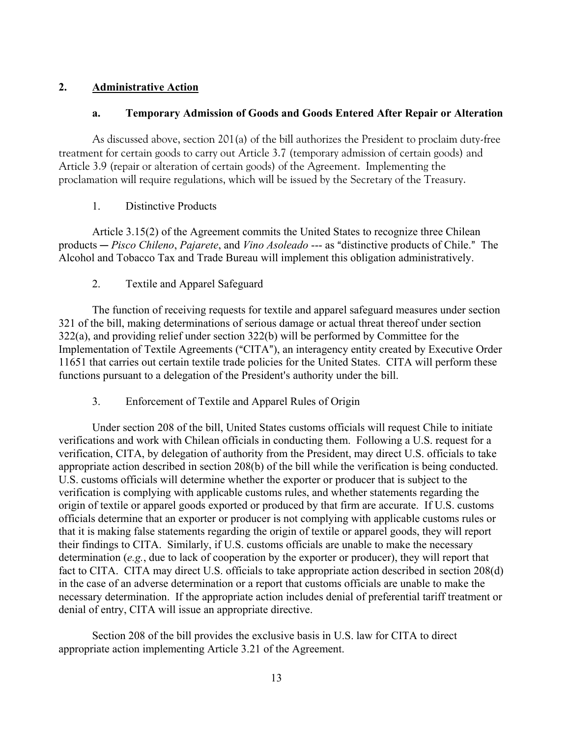## **2. Administrative Action**

## **a. Temporary Admission of Goods and Goods Entered After Repair or Alteration**

As discussed above, section 201(a) of the bill authorizes the President to proclaim duty-free treatment for certain goods to carry out Article 3.7 (temporary admission of certain goods) and Article 3.9 (repair or alteration of certain goods) of the Agreement. Implementing the proclamation will require regulations, which will be issued by the Secretary of the Treasury.

## 1. Distinctive Products

Article 3.15(2) of the Agreement commits the United States to recognize three Chilean products — Pisco Chileno, Pajarete, and *Vino Asoleado* --- as "distinctive products of Chile." The Alcohol and Tobacco Tax and Trade Bureau will implement this obligation administratively.

## 2. Textile and Apparel Safeguard

The function of receiving requests for textile and apparel safeguard measures under section 321 of the bill, making determinations of serious damage or actual threat thereof under section 322(a), and providing relief under section 322(b) will be performed by Committee for the Implementation of Textile Agreements ("CITA"), an interagency entity created by Executive Order 11651 that carries out certain textile trade policies for the United States. CITA will perform these functions pursuant to a delegation of the President's authority under the bill.

# 3. Enforcement of Textile and Apparel Rules of Origin

Under section 208 of the bill, United States customs officials will request Chile to initiate verifications and work with Chilean officials in conducting them. Following a U.S. request for a verification, CITA, by delegation of authority from the President, may direct U.S. officials to take appropriate action described in section 208(b) of the bill while the verification is being conducted. U.S. customs officials will determine whether the exporter or producer that is subject to the verification is complying with applicable customs rules, and whether statements regarding the origin of textile or apparel goods exported or produced by that firm are accurate. If U.S. customs officials determine that an exporter or producer is not complying with applicable customs rules or that it is making false statements regarding the origin of textile or apparel goods, they will report their findings to CITA. Similarly, if U.S. customs officials are unable to make the necessary determination (*e.g.*, due to lack of cooperation by the exporter or producer), they will report that fact to CITA. CITA may direct U.S. officials to take appropriate action described in section 208(d) in the case of an adverse determination or a report that customs officials are unable to make the necessary determination. If the appropriate action includes denial of preferential tariff treatment or denial of entry, CITA will issue an appropriate directive.

Section 208 of the bill provides the exclusive basis in U.S. law for CITA to direct appropriate action implementing Article 3.21 of the Agreement.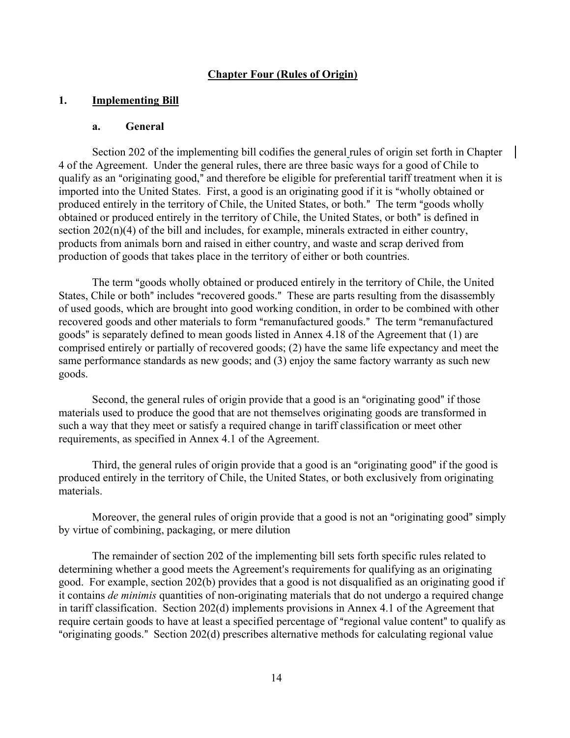### **Chapter Four (Rules of Origin)**

#### **1. Implementing Bill**

#### **a. General**

Section 202 of the implementing bill codifies the general rules of origin set forth in Chapter 4 of the Agreement. Under the general rules, there are three basic ways for a good of Chile to qualify as an "originating good," and therefore be eligible for preferential tariff treatment when it is imported into the United States. First, a good is an originating good if it is "wholly obtained or produced entirely in the territory of Chile, the United States, or both." The term "goods wholly obtained or produced entirely in the territory of Chile, the United States, or both" is defined in section  $202(n)(4)$  of the bill and includes, for example, minerals extracted in either country, products from animals born and raised in either country, and waste and scrap derived from production of goods that takes place in the territory of either or both countries.

The term "goods wholly obtained or produced entirely in the territory of Chile, the United States, Chile or both" includes "recovered goods." These are parts resulting from the disassembly of used goods, which are brought into good working condition, in order to be combined with other recovered goods and other materials to form "remanufactured goods." The term "remanufactured goods" is separately defined to mean goods listed in Annex 4.18 of the Agreement that  $(1)$  are comprised entirely or partially of recovered goods; (2) have the same life expectancy and meet the same performance standards as new goods; and (3) enjoy the same factory warranty as such new goods.

Second, the general rules of origin provide that a good is an "originating good" if those materials used to produce the good that are not themselves originating goods are transformed in such a way that they meet or satisfy a required change in tariff classification or meet other requirements, as specified in Annex 4.1 of the Agreement.

Third, the general rules of origin provide that a good is an "originating good" if the good is produced entirely in the territory of Chile, the United States, or both exclusively from originating materials.

Moreover, the general rules of origin provide that a good is not an "originating good" simply by virtue of combining, packaging, or mere dilution

The remainder of section 202 of the implementing bill sets forth specific rules related to determining whether a good meets the Agreement's requirements for qualifying as an originating good. For example, section 202(b) provides that a good is not disqualified as an originating good if it contains *de minimis* quantities of non-originating materials that do not undergo a required change in tariff classification. Section 202(d) implements provisions in Annex 4.1 of the Agreement that require certain goods to have at least a specified percentage of "regional value content" to qualify as "originating goods." Section 202(d) prescribes alternative methods for calculating regional value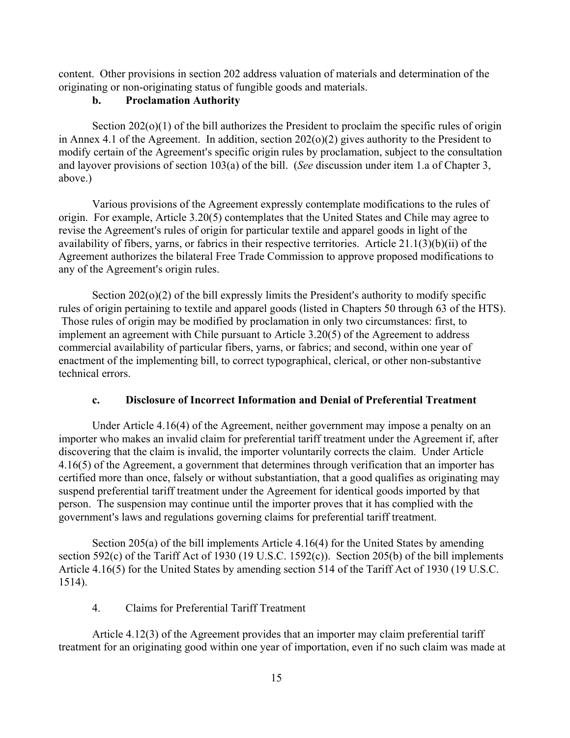content. Other provisions in section 202 address valuation of materials and determination of the originating or non-originating status of fungible goods and materials.

## **b. Proclamation Authority**

Section 202(o)(1) of the bill authorizes the President to proclaim the specific rules of origin in Annex 4.1 of the Agreement. In addition, section 202(o)(2) gives authority to the President to modify certain of the Agreement's specific origin rules by proclamation, subject to the consultation and layover provisions of section 103(a) of the bill. (*See* discussion under item 1.a of Chapter 3, above.)

Various provisions of the Agreement expressly contemplate modifications to the rules of origin. For example, Article 3.20(5) contemplates that the United States and Chile may agree to revise the Agreement's rules of origin for particular textile and apparel goods in light of the availability of fibers, yarns, or fabrics in their respective territories. Article 21.1(3)(b)(ii) of the Agreement authorizes the bilateral Free Trade Commission to approve proposed modifications to any of the Agreement's origin rules.

Section  $202(o)(2)$  of the bill expressly limits the President's authority to modify specific rules of origin pertaining to textile and apparel goods (listed in Chapters 50 through 63 of the HTS). Those rules of origin may be modified by proclamation in only two circumstances: first, to implement an agreement with Chile pursuant to Article 3.20(5) of the Agreement to address commercial availability of particular fibers, yarns, or fabrics; and second, within one year of enactment of the implementing bill, to correct typographical, clerical, or other non-substantive technical errors.

## **c. Disclosure of Incorrect Information and Denial of Preferential Treatment**

Under Article 4.16(4) of the Agreement, neither government may impose a penalty on an importer who makes an invalid claim for preferential tariff treatment under the Agreement if, after discovering that the claim is invalid, the importer voluntarily corrects the claim. Under Article 4.16(5) of the Agreement, a government that determines through verification that an importer has certified more than once, falsely or without substantiation, that a good qualifies as originating may suspend preferential tariff treatment under the Agreement for identical goods imported by that person. The suspension may continue until the importer proves that it has complied with the government's laws and regulations governing claims for preferential tariff treatment.

Section 205(a) of the bill implements Article 4.16(4) for the United States by amending section 592(c) of the Tariff Act of 1930 (19 U.S.C. 1592(c)). Section 205(b) of the bill implements Article 4.16(5) for the United States by amending section 514 of the Tariff Act of 1930 (19 U.S.C. 1514).

# 4. Claims for Preferential Tariff Treatment

Article 4.12(3) of the Agreement provides that an importer may claim preferential tariff treatment for an originating good within one year of importation, even if no such claim was made at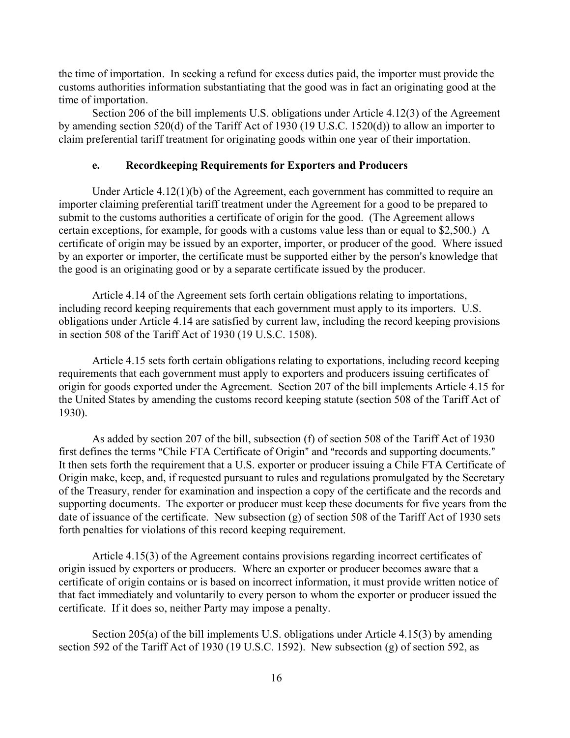the time of importation. In seeking a refund for excess duties paid, the importer must provide the customs authorities information substantiating that the good was in fact an originating good at the time of importation.

Section 206 of the bill implements U.S. obligations under Article 4.12(3) of the Agreement by amending section 520(d) of the Tariff Act of 1930 (19 U.S.C. 1520(d)) to allow an importer to claim preferential tariff treatment for originating goods within one year of their importation.

### **e. Recordkeeping Requirements for Exporters and Producers**

Under Article 4.12(1)(b) of the Agreement, each government has committed to require an importer claiming preferential tariff treatment under the Agreement for a good to be prepared to submit to the customs authorities a certificate of origin for the good. (The Agreement allows certain exceptions, for example, for goods with a customs value less than or equal to \$2,500.) A certificate of origin may be issued by an exporter, importer, or producer of the good. Where issued by an exporter or importer, the certificate must be supported either by the person's knowledge that the good is an originating good or by a separate certificate issued by the producer.

Article 4.14 of the Agreement sets forth certain obligations relating to importations, including record keeping requirements that each government must apply to its importers. U.S. obligations under Article 4.14 are satisfied by current law, including the record keeping provisions in section 508 of the Tariff Act of 1930 (19 U.S.C. 1508).

Article 4.15 sets forth certain obligations relating to exportations, including record keeping requirements that each government must apply to exporters and producers issuing certificates of origin for goods exported under the Agreement. Section 207 of the bill implements Article 4.15 for the United States by amending the customs record keeping statute (section 508 of the Tariff Act of 1930).

As added by section 207 of the bill, subsection (f) of section 508 of the Tariff Act of 1930 first defines the terms "Chile FTA Certificate of Origin" and "records and supporting documents." It then sets forth the requirement that a U.S. exporter or producer issuing a Chile FTA Certificate of Origin make, keep, and, if requested pursuant to rules and regulations promulgated by the Secretary of the Treasury, render for examination and inspection a copy of the certificate and the records and supporting documents. The exporter or producer must keep these documents for five years from the date of issuance of the certificate. New subsection (g) of section 508 of the Tariff Act of 1930 sets forth penalties for violations of this record keeping requirement.

Article 4.15(3) of the Agreement contains provisions regarding incorrect certificates of origin issued by exporters or producers. Where an exporter or producer becomes aware that a certificate of origin contains or is based on incorrect information, it must provide written notice of that fact immediately and voluntarily to every person to whom the exporter or producer issued the certificate. If it does so, neither Party may impose a penalty.

Section 205(a) of the bill implements U.S. obligations under Article 4.15(3) by amending section 592 of the Tariff Act of 1930 (19 U.S.C. 1592). New subsection (g) of section 592, as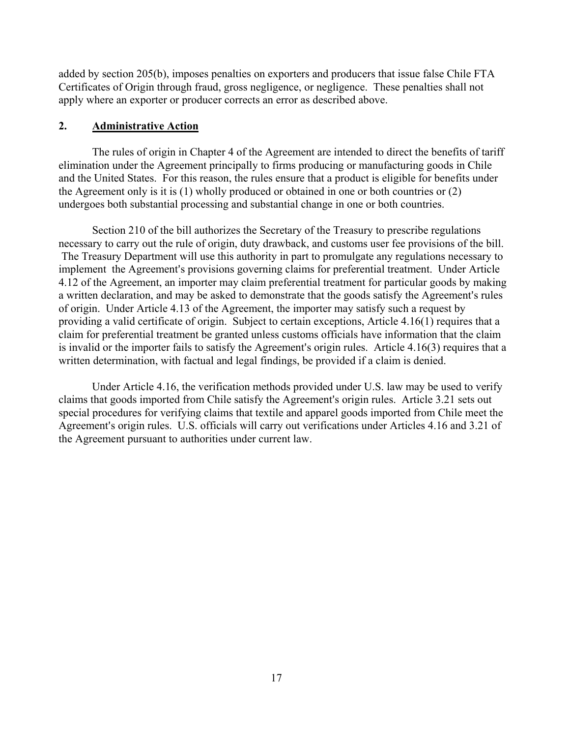added by section 205(b), imposes penalties on exporters and producers that issue false Chile FTA Certificates of Origin through fraud, gross negligence, or negligence. These penalties shall not apply where an exporter or producer corrects an error as described above.

### **2. Administrative Action**

The rules of origin in Chapter 4 of the Agreement are intended to direct the benefits of tariff elimination under the Agreement principally to firms producing or manufacturing goods in Chile and the United States. For this reason, the rules ensure that a product is eligible for benefits under the Agreement only is it is (1) wholly produced or obtained in one or both countries or (2) undergoes both substantial processing and substantial change in one or both countries.

Section 210 of the bill authorizes the Secretary of the Treasury to prescribe regulations necessary to carry out the rule of origin, duty drawback, and customs user fee provisions of the bill. The Treasury Department will use this authority in part to promulgate any regulations necessary to implement the Agreement's provisions governing claims for preferential treatment. Under Article 4.12 of the Agreement, an importer may claim preferential treatment for particular goods by making a written declaration, and may be asked to demonstrate that the goods satisfy the Agreement's rules of origin. Under Article 4.13 of the Agreement, the importer may satisfy such a request by providing a valid certificate of origin. Subject to certain exceptions, Article 4.16(1) requires that a claim for preferential treatment be granted unless customs officials have information that the claim is invalid or the importer fails to satisfy the Agreement's origin rules. Article  $4.16(3)$  requires that a written determination, with factual and legal findings, be provided if a claim is denied.

Under Article 4.16, the verification methods provided under U.S. law may be used to verify claims that goods imported from Chile satisfy the Agreement's origin rules. Article 3.21 sets out special procedures for verifying claims that textile and apparel goods imported from Chile meet the Agreement's origin rules. U.S. officials will carry out verifications under Articles 4.16 and 3.21 of the Agreement pursuant to authorities under current law.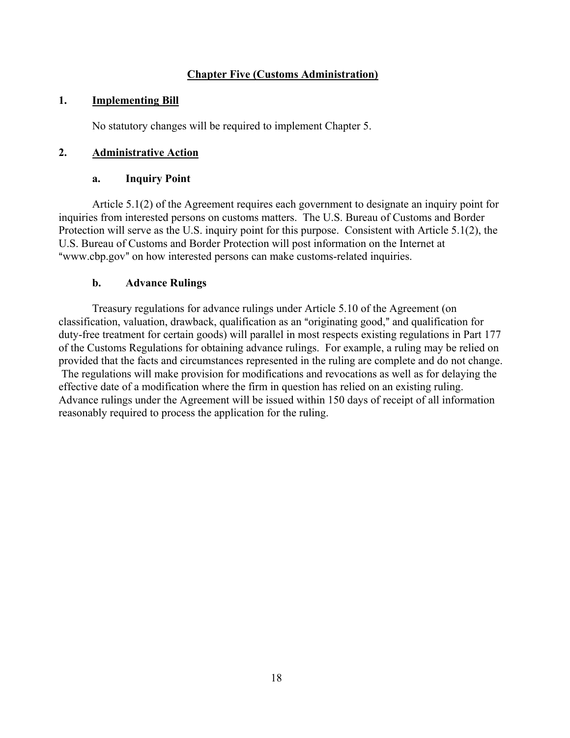## **Chapter Five (Customs Administration)**

### **1. Implementing Bill**

No statutory changes will be required to implement Chapter 5.

## **2. Administrative Action**

### **a. Inquiry Point**

Article 5.1(2) of the Agreement requires each government to designate an inquiry point for inquiries from interested persons on customs matters. The U.S. Bureau of Customs and Border Protection will serve as the U.S. inquiry point for this purpose. Consistent with Article 5.1(2), the U.S. Bureau of Customs and Border Protection will post information on the Internet at "www.cbp.gov" on how interested persons can make customs-related inquiries.

## **b. Advance Rulings**

Treasury regulations for advance rulings under Article 5.10 of the Agreement (on classification, valuation, drawback, qualification as an "originating good," and qualification for duty-free treatment for certain goods) will parallel in most respects existing regulations in Part 177 of the Customs Regulations for obtaining advance rulings. For example, a ruling may be relied on provided that the facts and circumstances represented in the ruling are complete and do not change. The regulations will make provision for modifications and revocations as well as for delaying the effective date of a modification where the firm in question has relied on an existing ruling. Advance rulings under the Agreement will be issued within 150 days of receipt of all information reasonably required to process the application for the ruling.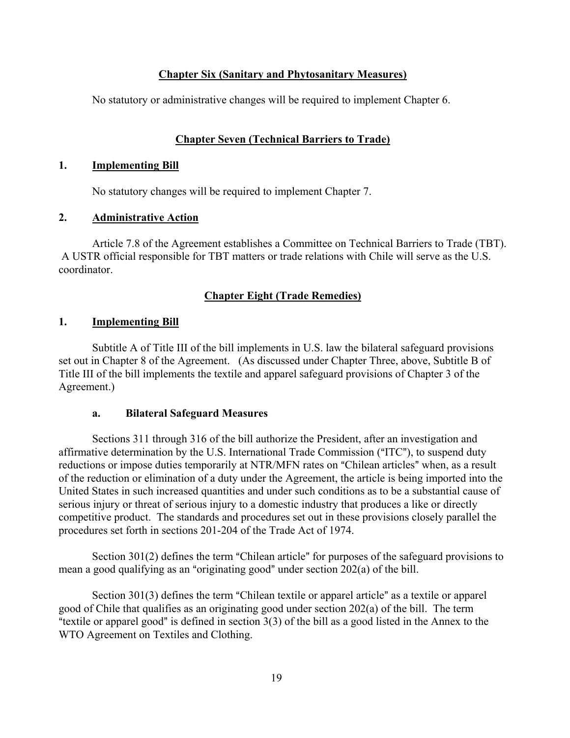## **Chapter Six (Sanitary and Phytosanitary Measures)**

No statutory or administrative changes will be required to implement Chapter 6.

# **Chapter Seven (Technical Barriers to Trade)**

### **1. Implementing Bill**

No statutory changes will be required to implement Chapter 7.

## **2. Administrative Action**

Article 7.8 of the Agreement establishes a Committee on Technical Barriers to Trade (TBT). A USTR official responsible for TBT matters or trade relations with Chile will serve as the U.S. coordinator.

# **Chapter Eight (Trade Remedies)**

## **1. Implementing Bill**

Subtitle A of Title III of the bill implements in U.S. law the bilateral safeguard provisions set out in Chapter 8 of the Agreement. (As discussed under Chapter Three, above, Subtitle B of Title III of the bill implements the textile and apparel safeguard provisions of Chapter 3 of the Agreement.)

## **a. Bilateral Safeguard Measures**

Sections 311 through 316 of the bill authorize the President, after an investigation and affirmative determination by the U.S. International Trade Commission ("ITC"), to suspend duty reductions or impose duties temporarily at NTR/MFN rates on "Chilean articles" when, as a result of the reduction or elimination of a duty under the Agreement, the article is being imported into the United States in such increased quantities and under such conditions as to be a substantial cause of serious injury or threat of serious injury to a domestic industry that produces a like or directly competitive product. The standards and procedures set out in these provisions closely parallel the procedures set forth in sections 201-204 of the Trade Act of 1974.

Section  $301(2)$  defines the term "Chilean article" for purposes of the safeguard provisions to mean a good qualifying as an "originating good" under section  $202(a)$  of the bill.

Section  $301(3)$  defines the term "Chilean textile or apparel article" as a textile or apparel good of Chile that qualifies as an originating good under section 202(a) of the bill. The term "textile or apparel good" is defined in section  $3(3)$  of the bill as a good listed in the Annex to the WTO Agreement on Textiles and Clothing.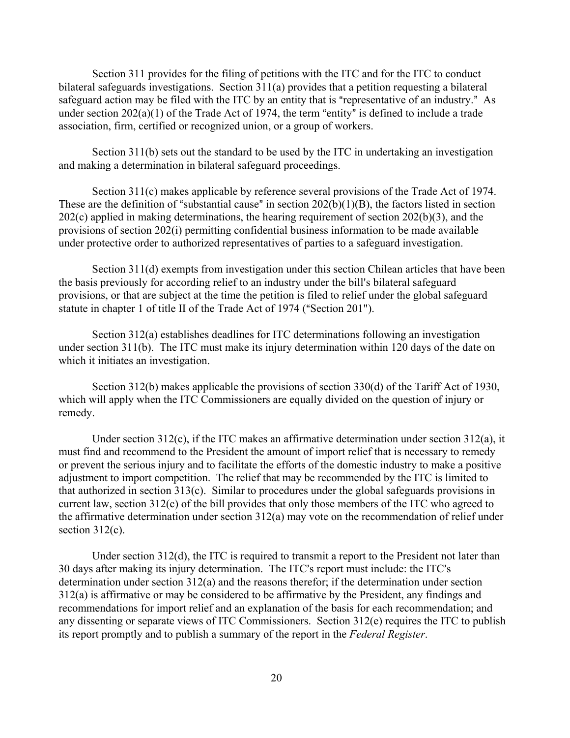Section 311 provides for the filing of petitions with the ITC and for the ITC to conduct bilateral safeguards investigations. Section 311(a) provides that a petition requesting a bilateral safeguard action may be filed with the ITC by an entity that is "representative of an industry." As under section  $202(a)(1)$  of the Trade Act of 1974, the term "entity" is defined to include a trade association, firm, certified or recognized union, or a group of workers.

Section 311(b) sets out the standard to be used by the ITC in undertaking an investigation and making a determination in bilateral safeguard proceedings.

Section 311(c) makes applicable by reference several provisions of the Trade Act of 1974. These are the definition of "substantial cause" in section  $202(b)(1)(B)$ , the factors listed in section 202(c) applied in making determinations, the hearing requirement of section 202(b)(3), and the provisions of section 202(i) permitting confidential business information to be made available under protective order to authorized representatives of parties to a safeguard investigation.

Section 311(d) exempts from investigation under this section Chilean articles that have been the basis previously for according relief to an industry under the bill's bilateral safeguard provisions, or that are subject at the time the petition is filed to relief under the global safeguard statute in chapter 1 of title II of the Trade Act of 1974 ("Section 201").

Section 312(a) establishes deadlines for ITC determinations following an investigation under section 311(b). The ITC must make its injury determination within 120 days of the date on which it initiates an investigation.

Section 312(b) makes applicable the provisions of section 330(d) of the Tariff Act of 1930, which will apply when the ITC Commissioners are equally divided on the question of injury or remedy.

Under section 312(c), if the ITC makes an affirmative determination under section 312(a), it must find and recommend to the President the amount of import relief that is necessary to remedy or prevent the serious injury and to facilitate the efforts of the domestic industry to make a positive adjustment to import competition. The relief that may be recommended by the ITC is limited to that authorized in section 313(c). Similar to procedures under the global safeguards provisions in current law, section 312(c) of the bill provides that only those members of the ITC who agreed to the affirmative determination under section 312(a) may vote on the recommendation of relief under section 312(c).

Under section 312(d), the ITC is required to transmit a report to the President not later than 30 days after making its injury determination. The ITC's report must include: the ITC's determination under section 312(a) and the reasons therefor; if the determination under section 312(a) is affirmative or may be considered to be affirmative by the President, any findings and recommendations for import relief and an explanation of the basis for each recommendation; and any dissenting or separate views of ITC Commissioners. Section 312(e) requires the ITC to publish its report promptly and to publish a summary of the report in the *Federal Register*.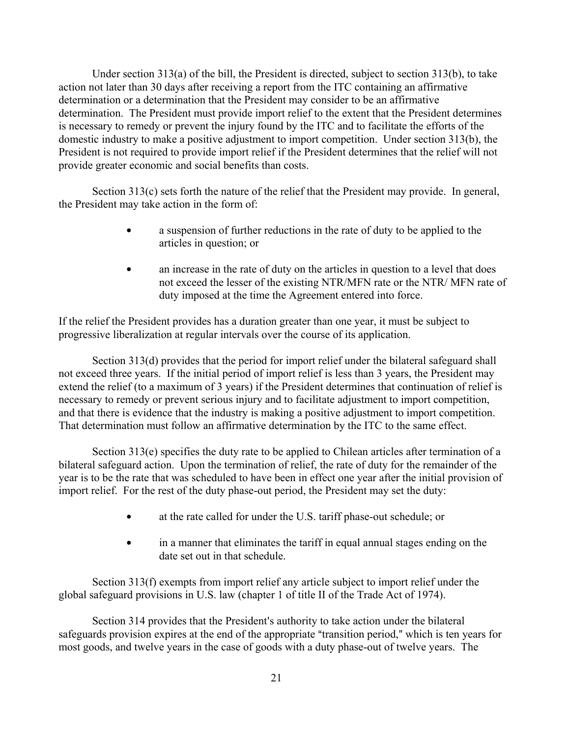Under section 313(a) of the bill, the President is directed, subject to section 313(b), to take action not later than 30 days after receiving a report from the ITC containing an affirmative determination or a determination that the President may consider to be an affirmative determination. The President must provide import relief to the extent that the President determines is necessary to remedy or prevent the injury found by the ITC and to facilitate the efforts of the domestic industry to make a positive adjustment to import competition. Under section 313(b), the President is not required to provide import relief if the President determines that the relief will not provide greater economic and social benefits than costs.

Section 313(c) sets forth the nature of the relief that the President may provide. In general, the President may take action in the form of:

- a suspension of further reductions in the rate of duty to be applied to the articles in question; or
- an increase in the rate of duty on the articles in question to a level that does not exceed the lesser of the existing NTR/MFN rate or the NTR/ MFN rate of duty imposed at the time the Agreement entered into force.

If the relief the President provides has a duration greater than one year, it must be subject to progressive liberalization at regular intervals over the course of its application.

Section 313(d) provides that the period for import relief under the bilateral safeguard shall not exceed three years. If the initial period of import relief is less than 3 years, the President may extend the relief (to a maximum of 3 years) if the President determines that continuation of relief is necessary to remedy or prevent serious injury and to facilitate adjustment to import competition, and that there is evidence that the industry is making a positive adjustment to import competition. That determination must follow an affirmative determination by the ITC to the same effect.

Section 313(e) specifies the duty rate to be applied to Chilean articles after termination of a bilateral safeguard action. Upon the termination of relief, the rate of duty for the remainder of the year is to be the rate that was scheduled to have been in effect one year after the initial provision of import relief. For the rest of the duty phase-out period, the President may set the duty:

- at the rate called for under the U.S. tariff phase-out schedule; or
- in a manner that eliminates the tariff in equal annual stages ending on the date set out in that schedule.

Section 313(f) exempts from import relief any article subject to import relief under the global safeguard provisions in U.S. law (chapter 1 of title II of the Trade Act of 1974).

Section 314 provides that the President's authority to take action under the bilateral safeguards provision expires at the end of the appropriate "transition period," which is ten years for most goods, and twelve years in the case of goods with a duty phase-out of twelve years. The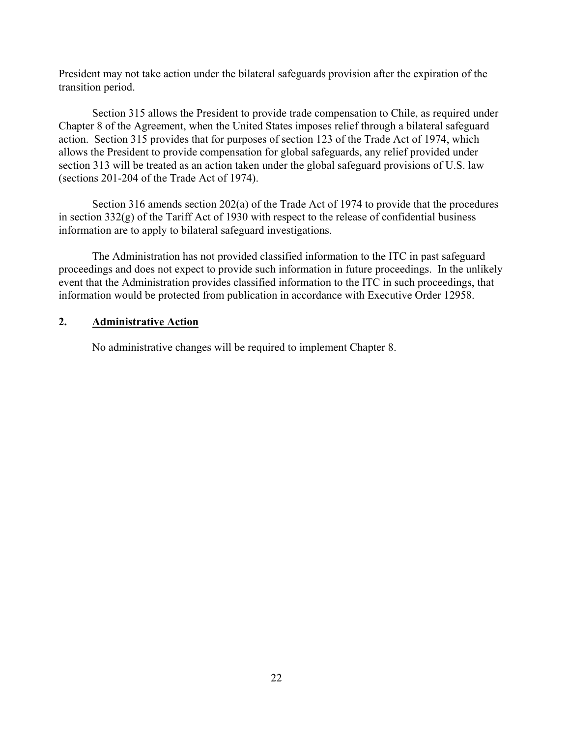President may not take action under the bilateral safeguards provision after the expiration of the transition period.

Section 315 allows the President to provide trade compensation to Chile, as required under Chapter 8 of the Agreement, when the United States imposes relief through a bilateral safeguard action. Section 315 provides that for purposes of section 123 of the Trade Act of 1974, which allows the President to provide compensation for global safeguards, any relief provided under section 313 will be treated as an action taken under the global safeguard provisions of U.S. law (sections 201-204 of the Trade Act of 1974).

Section 316 amends section 202(a) of the Trade Act of 1974 to provide that the procedures in section 332(g) of the Tariff Act of 1930 with respect to the release of confidential business information are to apply to bilateral safeguard investigations.

The Administration has not provided classified information to the ITC in past safeguard proceedings and does not expect to provide such information in future proceedings. In the unlikely event that the Administration provides classified information to the ITC in such proceedings, that information would be protected from publication in accordance with Executive Order 12958.

## **2. Administrative Action**

No administrative changes will be required to implement Chapter 8.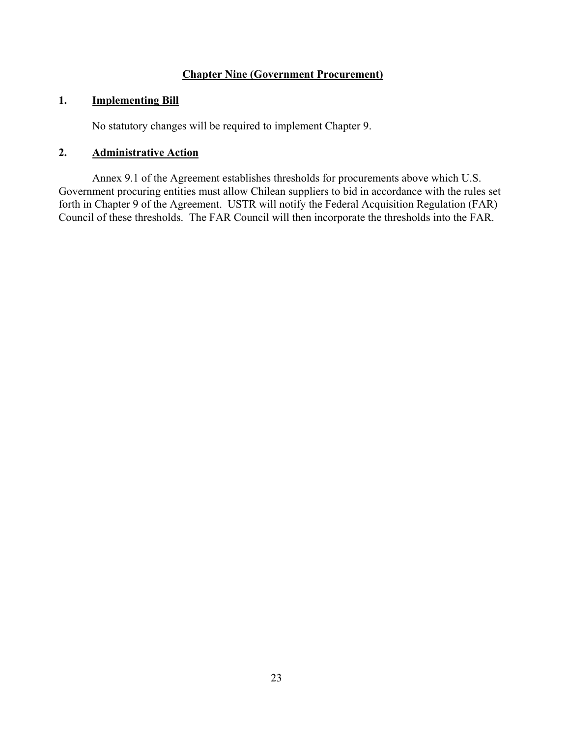# **Chapter Nine (Government Procurement)**

## **1. Implementing Bill**

No statutory changes will be required to implement Chapter 9.

## **2. Administrative Action**

Annex 9.1 of the Agreement establishes thresholds for procurements above which U.S. Government procuring entities must allow Chilean suppliers to bid in accordance with the rules set forth in Chapter 9 of the Agreement. USTR will notify the Federal Acquisition Regulation (FAR) Council of these thresholds. The FAR Council will then incorporate the thresholds into the FAR.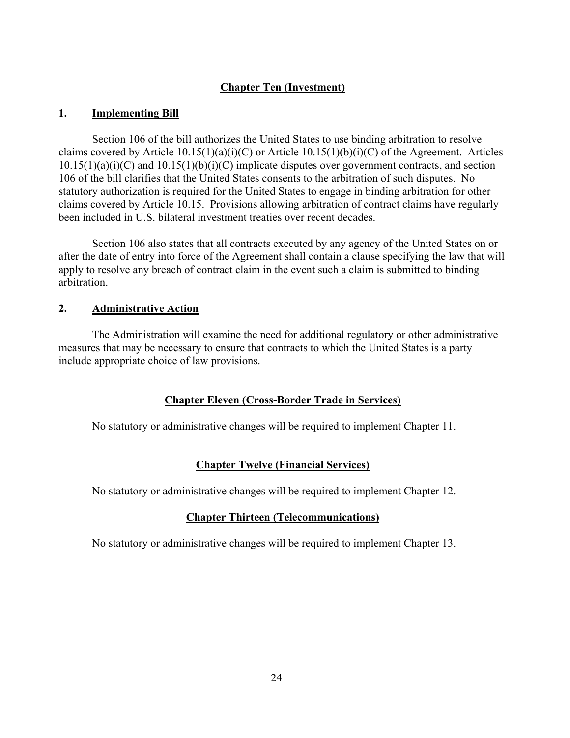# **Chapter Ten (Investment)**

## **1. Implementing Bill**

Section 106 of the bill authorizes the United States to use binding arbitration to resolve claims covered by Article  $10.15(1)(a)(i)(C)$  or Article  $10.15(1)(b)(i)(C)$  of the Agreement. Articles  $10.15(1)(a)(i)(C)$  and  $10.15(1)(b)(i)(C)$  implicate disputes over government contracts, and section 106 of the bill clarifies that the United States consents to the arbitration of such disputes. No statutory authorization is required for the United States to engage in binding arbitration for other claims covered by Article 10.15. Provisions allowing arbitration of contract claims have regularly been included in U.S. bilateral investment treaties over recent decades.

Section 106 also states that all contracts executed by any agency of the United States on or after the date of entry into force of the Agreement shall contain a clause specifying the law that will apply to resolve any breach of contract claim in the event such a claim is submitted to binding arbitration.

### **2. Administrative Action**

The Administration will examine the need for additional regulatory or other administrative measures that may be necessary to ensure that contracts to which the United States is a party include appropriate choice of law provisions.

## **Chapter Eleven (Cross-Border Trade in Services)**

No statutory or administrative changes will be required to implement Chapter 11.

## **Chapter Twelve (Financial Services)**

No statutory or administrative changes will be required to implement Chapter 12.

## **Chapter Thirteen (Telecommunications)**

No statutory or administrative changes will be required to implement Chapter 13.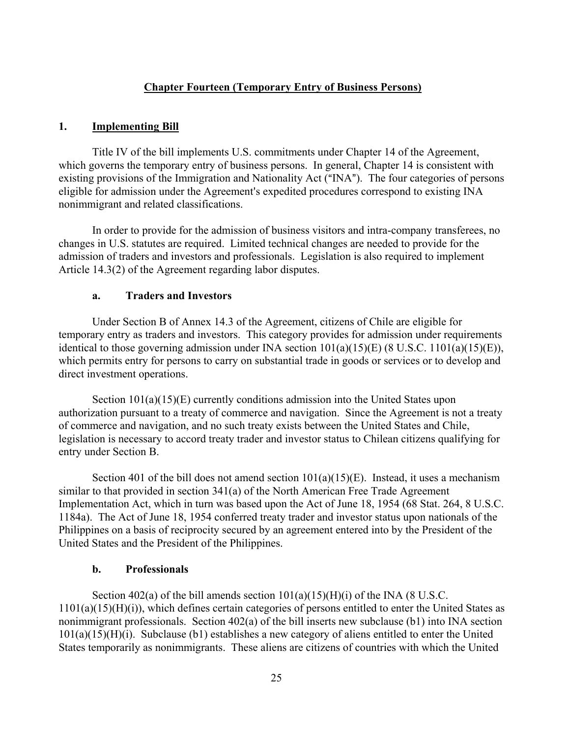## **Chapter Fourteen (Temporary Entry of Business Persons)**

### **1. Implementing Bill**

Title IV of the bill implements U.S. commitments under Chapter 14 of the Agreement, which governs the temporary entry of business persons. In general, Chapter 14 is consistent with existing provisions of the Immigration and Nationality Act ("INA"). The four categories of persons eligible for admission under the Agreement's expedited procedures correspond to existing INA nonimmigrant and related classifications.

In order to provide for the admission of business visitors and intra-company transferees, no changes in U.S. statutes are required. Limited technical changes are needed to provide for the admission of traders and investors and professionals. Legislation is also required to implement Article 14.3(2) of the Agreement regarding labor disputes.

### **a. Traders and Investors**

Under Section B of Annex 14.3 of the Agreement, citizens of Chile are eligible for temporary entry as traders and investors. This category provides for admission under requirements identical to those governing admission under INA section 101(a)(15)(E) (8 U.S.C. 1101(a)(15)(E)), which permits entry for persons to carry on substantial trade in goods or services or to develop and direct investment operations.

Section 101(a)(15)(E) currently conditions admission into the United States upon authorization pursuant to a treaty of commerce and navigation. Since the Agreement is not a treaty of commerce and navigation, and no such treaty exists between the United States and Chile, legislation is necessary to accord treaty trader and investor status to Chilean citizens qualifying for entry under Section B.

Section 401 of the bill does not amend section  $101(a)(15)(E)$ . Instead, it uses a mechanism similar to that provided in section 341(a) of the North American Free Trade Agreement Implementation Act, which in turn was based upon the Act of June 18, 1954 (68 Stat. 264, 8 U.S.C. 1184a). The Act of June 18, 1954 conferred treaty trader and investor status upon nationals of the Philippines on a basis of reciprocity secured by an agreement entered into by the President of the United States and the President of the Philippines.

## **b. Professionals**

Section 402(a) of the bill amends section  $101(a)(15)(H)(i)$  of the INA (8 U.S.C.  $1101(a)(15)(H)(i)$ , which defines certain categories of persons entitled to enter the United States as nonimmigrant professionals. Section 402(a) of the bill inserts new subclause (b1) into INA section 101(a)(15)(H)(i). Subclause (b1) establishes a new category of aliens entitled to enter the United States temporarily as nonimmigrants. These aliens are citizens of countries with which the United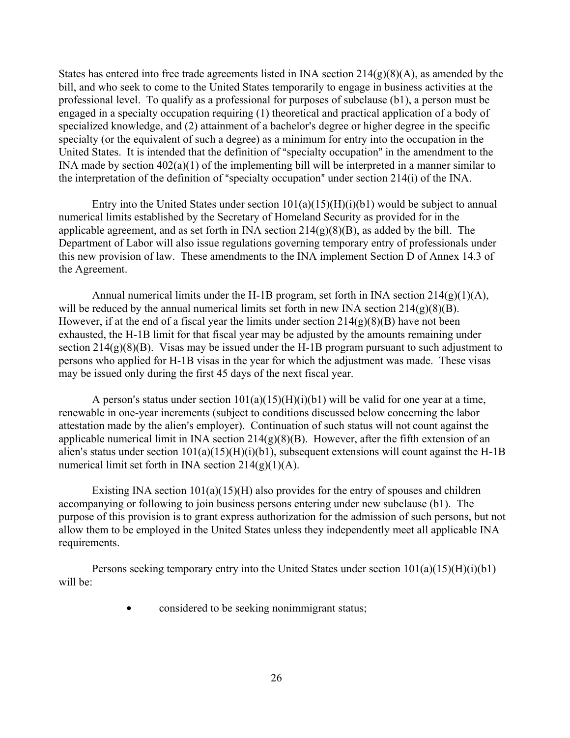States has entered into free trade agreements listed in INA section  $214(g)(8)(A)$ , as amended by the bill, and who seek to come to the United States temporarily to engage in business activities at the professional level. To qualify as a professional for purposes of subclause (b1), a person must be engaged in a specialty occupation requiring (1) theoretical and practical application of a body of specialized knowledge, and (2) attainment of a bachelor's degree or higher degree in the specific specialty (or the equivalent of such a degree) as a minimum for entry into the occupation in the United States. It is intended that the definition of "specialty occupation" in the amendment to the INA made by section 402(a)(1) of the implementing bill will be interpreted in a manner similar to the interpretation of the definition of "specialty occupation" under section  $214(i)$  of the INA.

Entry into the United States under section  $101(a)(15)(H)(i)(b1)$  would be subject to annual numerical limits established by the Secretary of Homeland Security as provided for in the applicable agreement, and as set forth in INA section  $214(g)(8)(B)$ , as added by the bill. The Department of Labor will also issue regulations governing temporary entry of professionals under this new provision of law. These amendments to the INA implement Section D of Annex 14.3 of the Agreement.

Annual numerical limits under the H-1B program, set forth in INA section 214(g)(1)(A), will be reduced by the annual numerical limits set forth in new INA section  $214(g)(8)(B)$ . However, if at the end of a fiscal year the limits under section  $214(g)(8)(B)$  have not been exhausted, the H-1B limit for that fiscal year may be adjusted by the amounts remaining under section 214(g)(8)(B). Visas may be issued under the H-1B program pursuant to such adjustment to persons who applied for H-1B visas in the year for which the adjustment was made. These visas may be issued only during the first 45 days of the next fiscal year.

A person's status under section  $101(a)(15)(H)(i)(b1)$  will be valid for one year at a time, renewable in one-year increments (subject to conditions discussed below concerning the labor attestation made by the alien's employer). Continuation of such status will not count against the applicable numerical limit in INA section 214(g)(8)(B). However, after the fifth extension of an alien's status under section  $101(a)(15)(H)(i)(b1)$ , subsequent extensions will count against the H-1B numerical limit set forth in INA section  $214(g)(1)(A)$ .

Existing INA section  $101(a)(15)(H)$  also provides for the entry of spouses and children accompanying or following to join business persons entering under new subclause (b1). The purpose of this provision is to grant express authorization for the admission of such persons, but not allow them to be employed in the United States unless they independently meet all applicable INA requirements.

Persons seeking temporary entry into the United States under section  $101(a)(15)(H)(i)(b1)$ will be:

• considered to be seeking nonimmigrant status;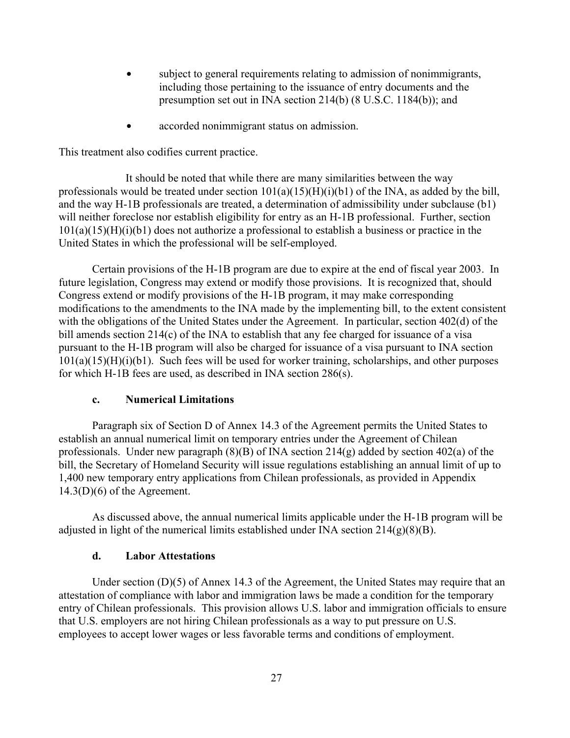- subject to general requirements relating to admission of nonimmigrants, including those pertaining to the issuance of entry documents and the presumption set out in INA section 214(b) (8 U.S.C. 1184(b)); and
- accorded nonimmigrant status on admission.

This treatment also codifies current practice.

It should be noted that while there are many similarities between the way professionals would be treated under section  $101(a)(15)(H)(i)(b1)$  of the INA, as added by the bill, and the way H-1B professionals are treated, a determination of admissibility under subclause (b1) will neither foreclose nor establish eligibility for entry as an H-1B professional. Further, section  $101(a)(15)(H)(i)(b1)$  does not authorize a professional to establish a business or practice in the United States in which the professional will be self-employed.

Certain provisions of the H-1B program are due to expire at the end of fiscal year 2003. In future legislation, Congress may extend or modify those provisions. It is recognized that, should Congress extend or modify provisions of the H-1B program, it may make corresponding modifications to the amendments to the INA made by the implementing bill, to the extent consistent with the obligations of the United States under the Agreement. In particular, section 402(d) of the bill amends section 214(c) of the INA to establish that any fee charged for issuance of a visa pursuant to the H-1B program will also be charged for issuance of a visa pursuant to INA section  $101(a)(15)(H)(i)(b1)$ . Such fees will be used for worker training, scholarships, and other purposes for which H-1B fees are used, as described in INA section 286(s).

## **c. Numerical Limitations**

Paragraph six of Section D of Annex 14.3 of the Agreement permits the United States to establish an annual numerical limit on temporary entries under the Agreement of Chilean professionals. Under new paragraph  $(8)(B)$  of INA section 214(g) added by section 402(a) of the bill, the Secretary of Homeland Security will issue regulations establishing an annual limit of up to 1,400 new temporary entry applications from Chilean professionals, as provided in Appendix  $14.3(D)(6)$  of the Agreement.

As discussed above, the annual numerical limits applicable under the H-1B program will be adjusted in light of the numerical limits established under INA section  $214(g)(8)(B)$ .

## **d. Labor Attestations**

Under section (D)(5) of Annex 14.3 of the Agreement, the United States may require that an attestation of compliance with labor and immigration laws be made a condition for the temporary entry of Chilean professionals. This provision allows U.S. labor and immigration officials to ensure that U.S. employers are not hiring Chilean professionals as a way to put pressure on U.S. employees to accept lower wages or less favorable terms and conditions of employment.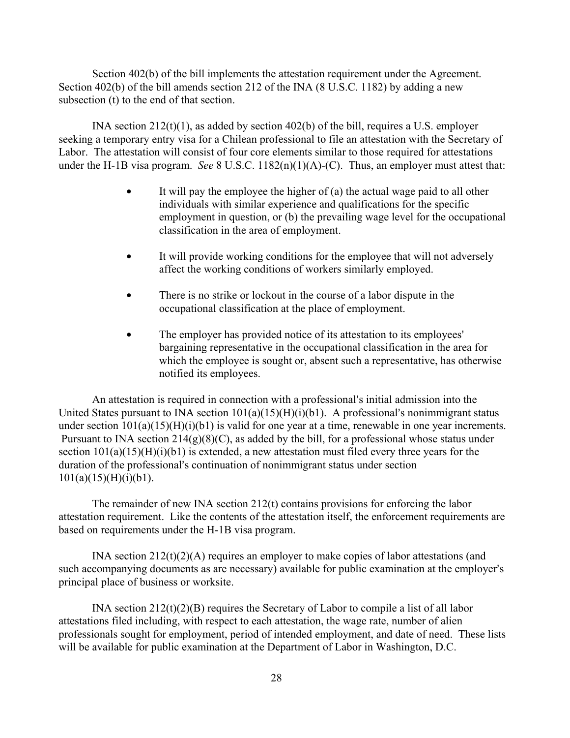Section 402(b) of the bill implements the attestation requirement under the Agreement. Section 402(b) of the bill amends section 212 of the INA (8 U.S.C. 1182) by adding a new subsection (t) to the end of that section.

INA section 212(t)(1), as added by section 402(b) of the bill, requires a U.S. employer seeking a temporary entry visa for a Chilean professional to file an attestation with the Secretary of Labor. The attestation will consist of four core elements similar to those required for attestations under the H-1B visa program. *See* 8 U.S.C. 1182(n)(1)(A)-(C). Thus, an employer must attest that:

- It will pay the employee the higher of  $(a)$  the actual wage paid to all other individuals with similar experience and qualifications for the specific employment in question, or (b) the prevailing wage level for the occupational classification in the area of employment.
- It will provide working conditions for the employee that will not adversely affect the working conditions of workers similarly employed.
- There is no strike or lockout in the course of a labor dispute in the occupational classification at the place of employment.
- The employer has provided notice of its attestation to its employees' bargaining representative in the occupational classification in the area for which the employee is sought or, absent such a representative, has otherwise notified its employees.

An attestation is required in connection with a professional's initial admission into the United States pursuant to INA section  $101(a)(15)(H)(i)(b1)$ . A professional's nonimmigrant status under section  $101(a)(15)(H)(i)(b1)$  is valid for one year at a time, renewable in one year increments. Pursuant to INA section  $214(g)(8)(C)$ , as added by the bill, for a professional whose status under section  $101(a)(15)(H)(i)(b1)$  is extended, a new attestation must filed every three years for the duration of the professional's continuation of nonimmigrant status under section  $101(a)(15)(H)(i)(b1)$ .

The remainder of new INA section 212(t) contains provisions for enforcing the labor attestation requirement. Like the contents of the attestation itself, the enforcement requirements are based on requirements under the H-1B visa program.

INA section 212(t)(2)(A) requires an employer to make copies of labor attestations (and such accompanying documents as are necessary) available for public examination at the employer's principal place of business or worksite.

INA section 212(t)(2)(B) requires the Secretary of Labor to compile a list of all labor attestations filed including, with respect to each attestation, the wage rate, number of alien professionals sought for employment, period of intended employment, and date of need. These lists will be available for public examination at the Department of Labor in Washington, D.C.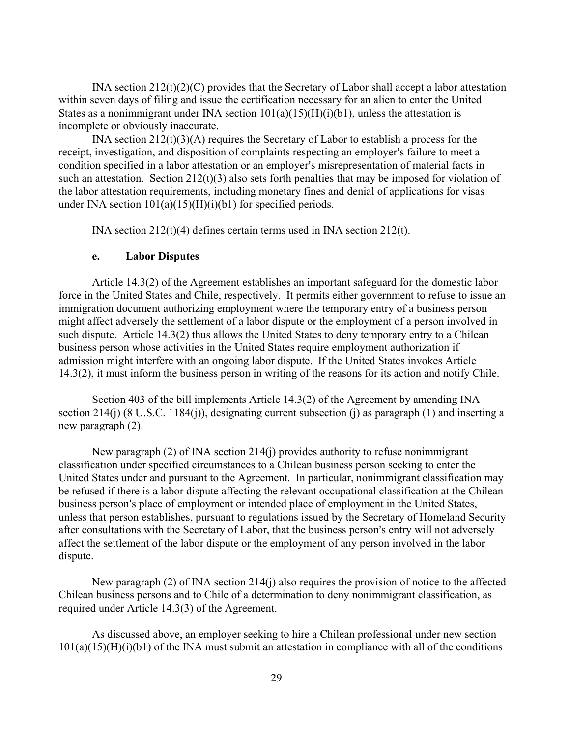INA section  $212(t)(2)(C)$  provides that the Secretary of Labor shall accept a labor attestation within seven days of filing and issue the certification necessary for an alien to enter the United States as a nonimmigrant under INA section  $101(a)(15)(H)(i)(b1)$ , unless the attestation is incomplete or obviously inaccurate.

INA section 212(t)(3)(A) requires the Secretary of Labor to establish a process for the receipt, investigation, and disposition of complaints respecting an employer's failure to meet a condition specified in a labor attestation or an employer's misrepresentation of material facts in such an attestation. Section 212(t)(3) also sets forth penalties that may be imposed for violation of the labor attestation requirements, including monetary fines and denial of applications for visas under INA section  $101(a)(15)(H)(i)(b1)$  for specified periods.

INA section 212(t)(4) defines certain terms used in INA section 212(t).

### **e. Labor Disputes**

Article 14.3(2) of the Agreement establishes an important safeguard for the domestic labor force in the United States and Chile, respectively. It permits either government to refuse to issue an immigration document authorizing employment where the temporary entry of a business person might affect adversely the settlement of a labor dispute or the employment of a person involved in such dispute. Article 14.3(2) thus allows the United States to deny temporary entry to a Chilean business person whose activities in the United States require employment authorization if admission might interfere with an ongoing labor dispute. If the United States invokes Article 14.3(2), it must inform the business person in writing of the reasons for its action and notify Chile.

Section 403 of the bill implements Article 14.3(2) of the Agreement by amending INA section 214(j) (8 U.S.C. 1184(j)), designating current subsection (j) as paragraph (1) and inserting a new paragraph (2).

New paragraph (2) of INA section 214(j) provides authority to refuse nonimmigrant classification under specified circumstances to a Chilean business person seeking to enter the United States under and pursuant to the Agreement. In particular, nonimmigrant classification may be refused if there is a labor dispute affecting the relevant occupational classification at the Chilean business person's place of employment or intended place of employment in the United States, unless that person establishes, pursuant to regulations issued by the Secretary of Homeland Security after consultations with the Secretary of Labor, that the business person's entry will not adversely affect the settlement of the labor dispute or the employment of any person involved in the labor dispute.

New paragraph (2) of INA section 214(j) also requires the provision of notice to the affected Chilean business persons and to Chile of a determination to deny nonimmigrant classification, as required under Article 14.3(3) of the Agreement.

As discussed above, an employer seeking to hire a Chilean professional under new section  $101(a)(15)(H)(i)(b1)$  of the INA must submit an attestation in compliance with all of the conditions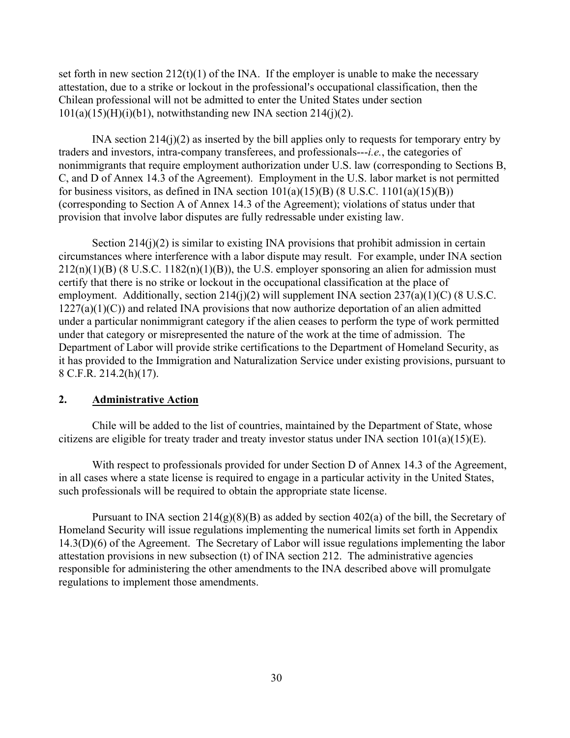set forth in new section  $212(t)(1)$  of the INA. If the employer is unable to make the necessary attestation, due to a strike or lockout in the professional's occupational classification, then the Chilean professional will not be admitted to enter the United States under section  $101(a)(15)(H)(i)(b1)$ , notwithstanding new INA section 214(j)(2).

INA section  $214(j)(2)$  as inserted by the bill applies only to requests for temporary entry by traders and investors, intra-company transferees, and professionals---*i.e.*, the categories of nonimmigrants that require employment authorization under U.S. law (corresponding to Sections B, C, and D of Annex 14.3 of the Agreement). Employment in the U.S. labor market is not permitted for business visitors, as defined in INA section  $101(a)(15)(B)$  (8 U.S.C. 1101(a)(15)(B)) (corresponding to Section A of Annex 14.3 of the Agreement); violations of status under that provision that involve labor disputes are fully redressable under existing law.

Section  $214(i)(2)$  is similar to existing INA provisions that prohibit admission in certain circumstances where interference with a labor dispute may result. For example, under INA section  $212(n)(1)(B)$  (8 U.S.C. 1182(n)(1)(B)), the U.S. employer sponsoring an alien for admission must certify that there is no strike or lockout in the occupational classification at the place of employment. Additionally, section  $214(j)(2)$  will supplement INA section  $237(a)(1)(C)$  (8 U.S.C.  $1227(a)(1)(C)$ ) and related INA provisions that now authorize deportation of an alien admitted under a particular nonimmigrant category if the alien ceases to perform the type of work permitted under that category or misrepresented the nature of the work at the time of admission. The Department of Labor will provide strike certifications to the Department of Homeland Security, as it has provided to the Immigration and Naturalization Service under existing provisions, pursuant to 8 C.F.R. 214.2(h)(17).

## **2. Administrative Action**

Chile will be added to the list of countries, maintained by the Department of State, whose citizens are eligible for treaty trader and treaty investor status under INA section  $101(a)(15)(E)$ .

With respect to professionals provided for under Section D of Annex 14.3 of the Agreement, in all cases where a state license is required to engage in a particular activity in the United States, such professionals will be required to obtain the appropriate state license.

Pursuant to INA section  $214(g)(8)(B)$  as added by section  $402(a)$  of the bill, the Secretary of Homeland Security will issue regulations implementing the numerical limits set forth in Appendix 14.3(D)(6) of the Agreement. The Secretary of Labor will issue regulations implementing the labor attestation provisions in new subsection (t) of INA section 212. The administrative agencies responsible for administering the other amendments to the INA described above will promulgate regulations to implement those amendments.